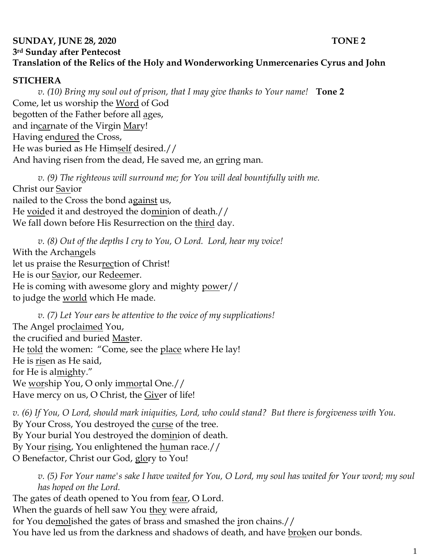## **SUNDAY, JUNE 28, 2020 TONE 2 3rd Sunday after Pentecost Translation of the Relics of the Holy and Wonderworking Unmercenaries Cyrus and John**

## **STICHERA**

*v. (10) Bring my soul out of prison, that I may give thanks to Your name!* **Tone 2** Come, let us worship the Word of God begotten of the Father before all ages, and incarnate of the Virgin Mary! Having endured the Cross, He was buried as He Himself desired.// And having risen from the dead, He saved me, an erring man.

*v.* (9) The righteous will surround me; for You will deal bountifully with me. Christ our Savior nailed to the Cross the bond against us, He voided it and destroyed the dominion of death.// We fall down before His Resurrection on the third day.

*v. (8) Out of the depths I cry to You, O Lord. Lord, hear my voice!*  With the Archangels let us praise the Resurrection of Christ! He is our Savior, our Redeemer. He is coming with awesome glory and mighty power// to judge the world which He made.

*v. (7) Let Your ears be attentive to the voice of my supplications!* The Angel proclaimed You, the crucified and buried Master. He told the women: "Come, see the place where He lay! He is risen as He said, for He is almighty." We worship You, O only immortal One.// Have mercy on us, O Christ, the Giver of life!

*v. (6) If You, O Lord, should mark iniquities, Lord, who could stand? But there is forgiveness with You.*  By Your Cross, You destroyed the curse of the tree. By Your burial You destroyed the dominion of death. By Your rising, You enlightened the human race.// O Benefactor, Christ our God, glory to You!

*v. (5) For Your name's sake I have waited for You, O Lord, my soul has waited for Your word; my soul has hoped on the Lord.*  The gates of death opened to You from <u>fear</u>, O Lord.

When the guards of hell saw You they were afraid, for You demolished the gates of brass and smashed the iron chains.// You have led us from the darkness and shadows of death, and have broken our bonds.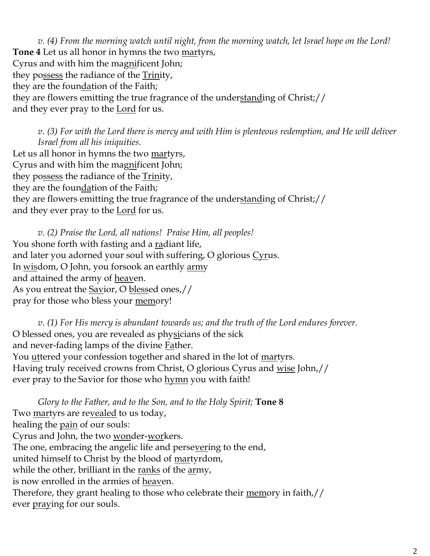*v. (4) From the morning watch until night, from the morning watch, let Israel hope on the Lord!*  **Tone 4** Let us all honor in hymns the two martyrs, Cyrus and with him the magnificent John; they possess the radiance of the **Trinity**, they are the foundation of the Faith; they are flowers emitting the true fragrance of the understanding of Christ;// and they ever pray to the **Lord** for us.

*v. (3) For with the Lord there is mercy and with Him is plenteous redemption, and He will deliver Israel from all his iniquities.* Let us all honor in hymns the two martyrs, Cyrus and with him the magnificent John; they possess the radiance of the Trinity, they are the foundation of the Faith; they are flowers emitting the true fragrance of the understanding of Christ;// and they ever pray to the <u>Lord</u> for us.

*v. (2) Praise the Lord, all nations! Praise Him, all peoples!* You shone forth with fasting and a radiant life, and later you adorned your soul with suffering, O glorious Cyrus. In wisdom, O John, you forsook an earthly army and attained the army of heaven. As you entreat the Savior, O blessed ones,// pray for those who bless your <u>mem</u>ory!

*v. (1) For His mercy is abundant towards us; and the truth of the Lord endures forever.*  O blessed ones, you are revealed as physicians of the sick and never-fading lamps of the divine Father. You <u>ut</u>tered your confession together and shared in the lot of <u>martyrs</u>. Having truly received crowns from Christ, O glorious Cyrus and wise John,// ever pray to the Savior for those who hymn you with faith!

*Glory to the Father, and to the Son, and to the Holy Spirit;* **Tone 8** Two martyrs are revealed to us today, healing the pain of our souls: Cyrus and John, the two wonder-workers. The one, embracing the angelic life and persevering to the end, united himself to Christ by the blood of martyrdom, while the other, brilliant in the ranks of the army, is now enrolled in the armies of heaven. Therefore, they grant healing to those who celebrate their memory in faith,// ever *praying* for our souls.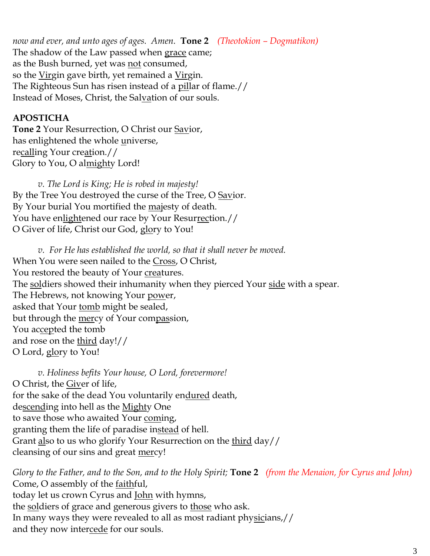*now and ever, and unto ages of ages. Amen.* **Tone 2** *(Theotokion – Dogmatikon)* The shadow of the Law passed when grace came; as the Bush burned, yet was not consumed, so the Virgin gave birth, yet remained a Virgin. The Righteous Sun has risen instead of a pillar of flame.// Instead of Moses, Christ, the Salvation of our souls.

## **APOSTICHA**

**Tone 2** Your Resurrection, O Christ our Savior, has enlightened the whole universe, recalling Your creation.// Glory to You, O almighty Lord!

*v. The Lord is King; He is robed in majesty!*  By the Tree You destroyed the curse of the Tree, O Savior. By Your burial You mortified the majesty of death. You have enlightened our race by Your Resurrection.// O Giver of life, Christ our God, glory to You!

*v. For He has established the world, so that it shall never be moved.* When You were seen nailed to the Cross, O Christ, You restored the beauty of Your creatures. The soldiers showed their inhumanity when they pierced Your side with a spear. The Hebrews, not knowing Your power, asked that Your tomb might be sealed, but through the <u>mer</u>cy of Your compassion, You accepted the tomb and rose on the third day!// O Lord, glory to You!

*v. Holiness befits Your house, O Lord, forevermore!*  O Christ, the Giver of life, for the sake of the dead You voluntarily endured death, descending into hell as the Mighty One to save those who awaited Your coming, granting them the life of paradise instead of hell. Grant also to us who glorify Your Resurrection on the third day// cleansing of our sins and great mercy!

*Glory to the Father, and to the Son, and to the Holy Spirit;* **Tone 2** *(from the Menaion, for Cyrus and John)* Come, O assembly of the faithful, today let us crown Cyrus and <u>John</u> with hymns, the soldiers of grace and generous givers to those who ask. In many ways they were revealed to all as most radiant physicians,// and they now intercede for our souls.